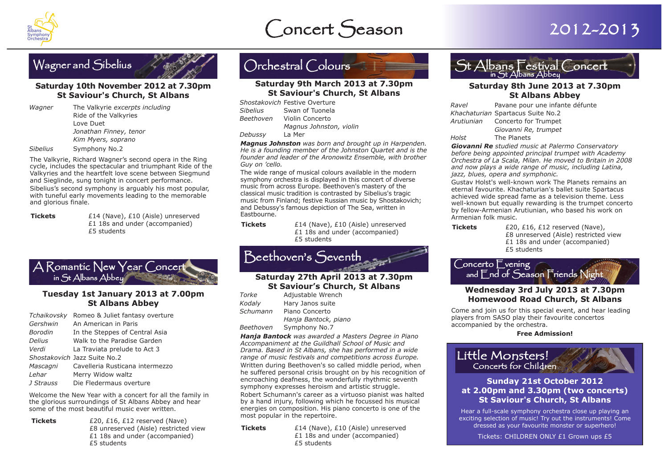





#### **Saturday 10th November 2012 at 7.30pm St Saviour's Church, St Albans**

*Wagner* The Valkyrie *excerpts including* Ride of the Valkyries Love Duet *Jonathan Finney, tenor Kim Myers, soprano Sibelius* Symphony No.2

The Valkyrie, Richard Wagner's second opera in the Ring cycle, includes the spectacular and triumphant Ride of the Valkyries and the heartfelt love scene between Siegmund and Sieglinde, sung tonight in concert performance.

Sibelius's second symphony is arguably his most popular, with tuneful early movements leading to the memorable and glorious finale.

**Tickets**  $£14$  (Nave), £10 (Aisle) unreserved £1 18s and under (accompanied)



#### **Tuesday 1st January 2013 at 7.00pm St Albans Abbey**

| Tchaikovsky    | Romeo & Juliet fantasy overture |
|----------------|---------------------------------|
| Gershwin       | An American in Paris            |
| <b>Borodin</b> | In the Steppes of Central Asia  |
| <b>Delius</b>  | Walk to the Paradise Garden     |
| Verdi          | La Traviata prelude to Act 3    |
|                | Shostakovich Jazz Suite No.2    |
| Mascagni       | Cavelleria Rusticana intermezzo |
| Lehar          | Merry Widow waltz               |
| J Strauss      | Die Fledermaus overture         |

Welcome the New Year with a concert for all the family in the glorious surroundings of St Albans Abbey and hear some of the most beautiful music ever written.

**Tickets** £20, £16, £12 reserved (Nave) £8 unreserved (Aisle) restricted view £1 18s and under (accompanied) £5 students

## Orchestral Colours **Saturday 9th March 2013 at 7.30pm**

### **St Saviour's Church, St Albans**

|           | Shostakovich Festive Overture |
|-----------|-------------------------------|
| Sibelius  | Swan of Tuonela               |
| Beethoven | Violin Concerto               |
|           | Magnus Johnston, violin       |
| Debussy   | La Mer                        |

*Magnus Johnston was born and brought up in Harpenden. He is a founding member of the Johnston Quartet and is the founder and leader of the Aronowitz Ensemble, with brother Guy on 'cello.*

The wide range of musical colours available in the modern symphony orchestra is displayed in this concert of diverse music from across Europe. Beethoven's mastery of the classical music tradition is contrasted by Sibelius's tragic music from Finland; festive Russian music by Shostakovich; and Debussy's famous depiction of The Sea, written in Eastbourne.

**Tickets** £14 (Nave), £10 (Aisle) unreserved £1 18s and under (accompanied) £5 students

## Beethovens Seventh **Saturday 27th April 2013 at 7.30pm**

## **St Saviour's Church, St Albans**

| Torke     | Adjustable Wrench    |
|-----------|----------------------|
| Kodaly    | Hary Janos suite     |
| Schumann  | Piano Concerto       |
|           | Hanja Bantock, piano |
| Beethoven | Symphony No.7        |

*Hanja Bantock was awarded a Masters Degree in Piano Accompaniment at the Guildhall School of Music and Drama. Based in St Albans, she has performed in a wide range of music festivals and competitions across Europe.*

Written during Beethoven's so called middle period, when he suffered personal crisis brought on by his recognition of encroaching deafness, the wonderfully rhythmic seventh symphony expresses heroism and artistic struggle.

Robert Schumann's career as a virtuoso pianist was halted by a hand injury, following which he focussed his musical energies on composition. His piano concerto is one of the most popular in the repertoire.

**Tickets** £14 (Nave), £10 (Aisle) unreserved £1 18s and under (accompanied) £5 students



## **St Albans Abbey**

| Ravel | Pavane pour une infante défunte   |
|-------|-----------------------------------|
|       | Khachaturian Spartacus Suite No.2 |
|       | Arutiunian Concerto for Trumpet   |
|       | Giovanni Re, trumpet              |
| Holst | The Planets                       |
|       |                                   |

*Giovanni Re studied music at Palermo Conservatory before being appointed principal trumpet with Academy Orchestra of La Scala, Milan. He moved to Britain in 2008 and now plays a wide range of music, including Latina, jazz, blues, opera and symphonic.* 

Gustav Holst's well-known work The Planets remains an eternal favourite. Khachaturian's ballet suite Spartacus achieved wide spread fame as a television theme. Less well-known but equally rewarding is the trumpet concerto by fellow-Armenian Arutiunian, who based his work on Armenian folk music.

£1 18s and under (accompanied) **Tickets** E14 (Nave), £10 (Aisle) unreserved **Tickets** E20, £16, £12 reserved (Nave),<br>£1 18s and under (accompanied) E8 unreserved (Aisle) restricted view £1 18s and under (accompanied) £5 students

# Concerto Evening and End of Season Friends Night **Wednesday 3rd July 2013 at 7.30pm**

## **Homewood Road Church, St Albans**

Come and join us for this special event, and hear leading players from S ASO play their favourite concertos accompanied by the orchestra.

#### **Free Admission!**

Little Monsters! Concerts for Children

#### **Sunday 21st October 2012 at 2.00pm and 3.30pm (two concerts) St Saviour's Church, St Albans**

Hear a full-scale symphony orchestra close up playing an exciting selection of music! Try out the instruments! Come dressed as your favourite monster or superhero!

Tickets: CHILDREN ONLY £1 Grown ups £5